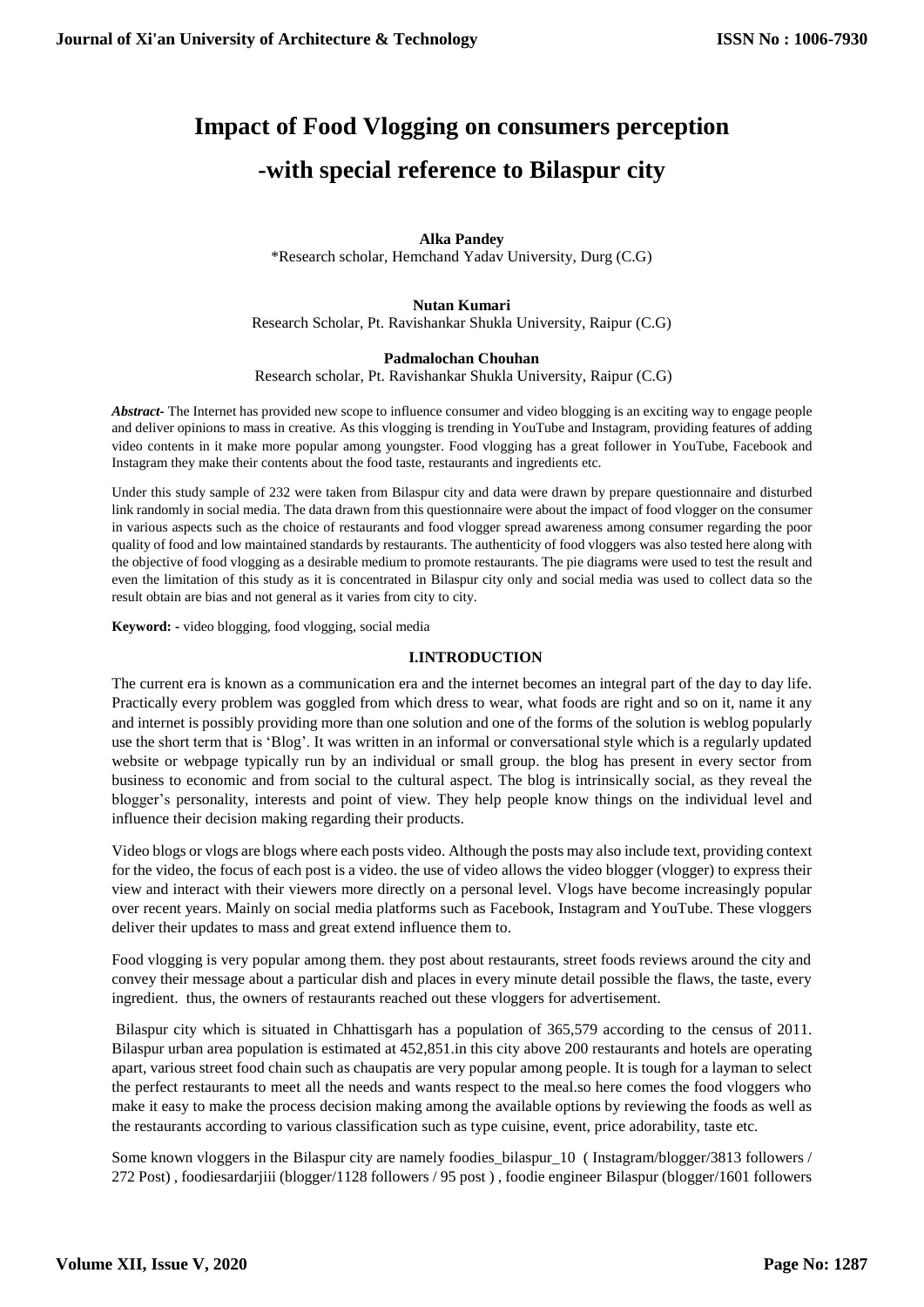# **Impact of Food Vlogging on consumers perception -with special reference to Bilaspur city**

## **Alka Pandey** \*Research scholar, Hemchand Yadav University, Durg (C.G)

#### **Nutan Kumari** Research Scholar, Pt. Ravishankar Shukla University, Raipur (C.G)

## **Padmalochan Chouhan**

Research scholar, Pt. Ravishankar Shukla University, Raipur (C.G)

*Abstract-* The Internet has provided new scope to influence consumer and video blogging is an exciting way to engage people and deliver opinions to mass in creative. As this vlogging is trending in YouTube and Instagram, providing features of adding video contents in it make more popular among youngster. Food vlogging has a great follower in YouTube, Facebook and Instagram they make their contents about the food taste, restaurants and ingredients etc.

Under this study sample of 232 were taken from Bilaspur city and data were drawn by prepare questionnaire and disturbed link randomly in social media. The data drawn from this questionnaire were about the impact of food vlogger on the consumer in various aspects such as the choice of restaurants and food vlogger spread awareness among consumer regarding the poor quality of food and low maintained standards by restaurants. The authenticity of food vloggers was also tested here along with the objective of food vlogging as a desirable medium to promote restaurants. The pie diagrams were used to test the result and even the limitation of this study as it is concentrated in Bilaspur city only and social media was used to collect data so the result obtain are bias and not general as it varies from city to city.

**Keyword: -** video blogging, food vlogging, social media

### **I.INTRODUCTION**

The current era is known as a communication era and the internet becomes an integral part of the day to day life. Practically every problem was goggled from which dress to wear, what foods are right and so on it, name it any and internet is possibly providing more than one solution and one of the forms of the solution is weblog popularly use the short term that is 'Blog'. It was written in an informal or conversational style which is a regularly updated website or webpage typically run by an individual or small group. the blog has present in every sector from business to economic and from social to the cultural aspect. The blog is intrinsically social, as they reveal the blogger's personality, interests and point of view. They help people know things on the individual level and influence their decision making regarding their products.

Video blogs or vlogs are blogs where each posts video. Although the posts may also include text, providing context for the video, the focus of each post is a video. the use of video allows the video blogger (vlogger) to express their view and interact with their viewers more directly on a personal level. Vlogs have become increasingly popular over recent years. Mainly on social media platforms such as Facebook, Instagram and YouTube. These vloggers deliver their updates to mass and great extend influence them to.

Food vlogging is very popular among them. they post about restaurants, street foods reviews around the city and convey their message about a particular dish and places in every minute detail possible the flaws, the taste, every ingredient. thus, the owners of restaurants reached out these vloggers for advertisement.

Bilaspur city which is situated in Chhattisgarh has a population of 365,579 according to the census of 2011. Bilaspur urban area population is estimated at 452,851.in this city above 200 restaurants and hotels are operating apart, various street food chain such as chaupatis are very popular among people. It is tough for a layman to select the perfect restaurants to meet all the needs and wants respect to the meal.so here comes the food vloggers who make it easy to make the process decision making among the available options by reviewing the foods as well as the restaurants according to various classification such as type cuisine, event, price adorability, taste etc.

Some known vloggers in the Bilaspur city are namely foodies\_bilaspur\_10 ( Instagram/blogger/3813 followers / 272 Post) , foodiesardarjiii (blogger/1128 followers / 95 post ) , foodie engineer Bilaspur (blogger/1601 followers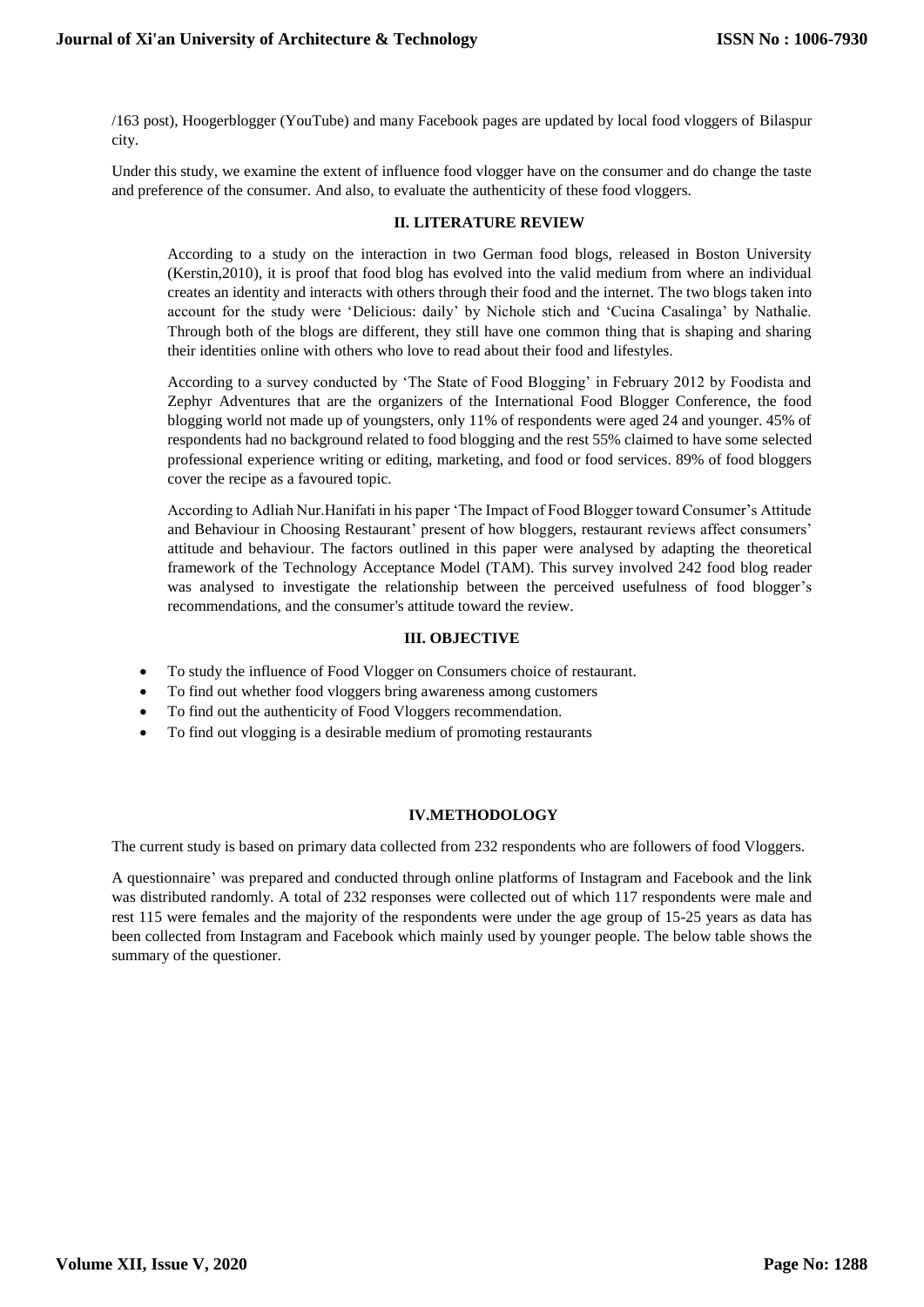/163 post), Hoogerblogger (YouTube) and many Facebook pages are updated by local food vloggers of Bilaspur city.

Under this study, we examine the extent of influence food vlogger have on the consumer and do change the taste and preference of the consumer. And also, to evaluate the authenticity of these food vloggers.

## **II. LITERATURE REVIEW**

According to a study on the interaction in two German food blogs, released in Boston University (Kerstin,2010), it is proof that food blog has evolved into the valid medium from where an individual creates an identity and interacts with others through their food and the internet. The two blogs taken into account for the study were 'Delicious: daily' by Nichole stich and 'Cucina Casalinga' by Nathalie. Through both of the blogs are different, they still have one common thing that is shaping and sharing their identities online with others who love to read about their food and lifestyles.

According to a survey conducted by 'The State of Food Blogging' in February 2012 by Foodista and Zephyr Adventures that are the organizers of the International Food Blogger Conference, the food blogging world not made up of youngsters, only 11% of respondents were aged 24 and younger. 45% of respondents had no background related to food blogging and the rest 55% claimed to have some selected professional experience writing or editing, marketing, and food or food services. 89% of food bloggers cover the recipe as a favoured topic.

According to Adliah Nur.Hanifati in his paper 'The Impact of Food Blogger toward Consumer's Attitude and Behaviour in Choosing Restaurant' present of how bloggers, restaurant reviews affect consumers' attitude and behaviour. The factors outlined in this paper were analysed by adapting the theoretical framework of the Technology Acceptance Model (TAM). This survey involved 242 food blog reader was analysed to investigate the relationship between the perceived usefulness of food blogger's recommendations, and the consumer's attitude toward the review.

## **III. OBJECTIVE**

- To study the influence of Food Vlogger on Consumers choice of restaurant.
- To find out whether food vloggers bring awareness among customers
- To find out the authenticity of Food Vloggers recommendation.
- To find out vlogging is a desirable medium of promoting restaurants

## **IV.METHODOLOGY**

The current study is based on primary data collected from 232 respondents who are followers of food Vloggers.

A questionnaire' was prepared and conducted through online platforms of Instagram and Facebook and the link was distributed randomly. A total of 232 responses were collected out of which 117 respondents were male and rest 115 were females and the majority of the respondents were under the age group of 15-25 years as data has been collected from Instagram and Facebook which mainly used by younger people. The below table shows the summary of the questioner.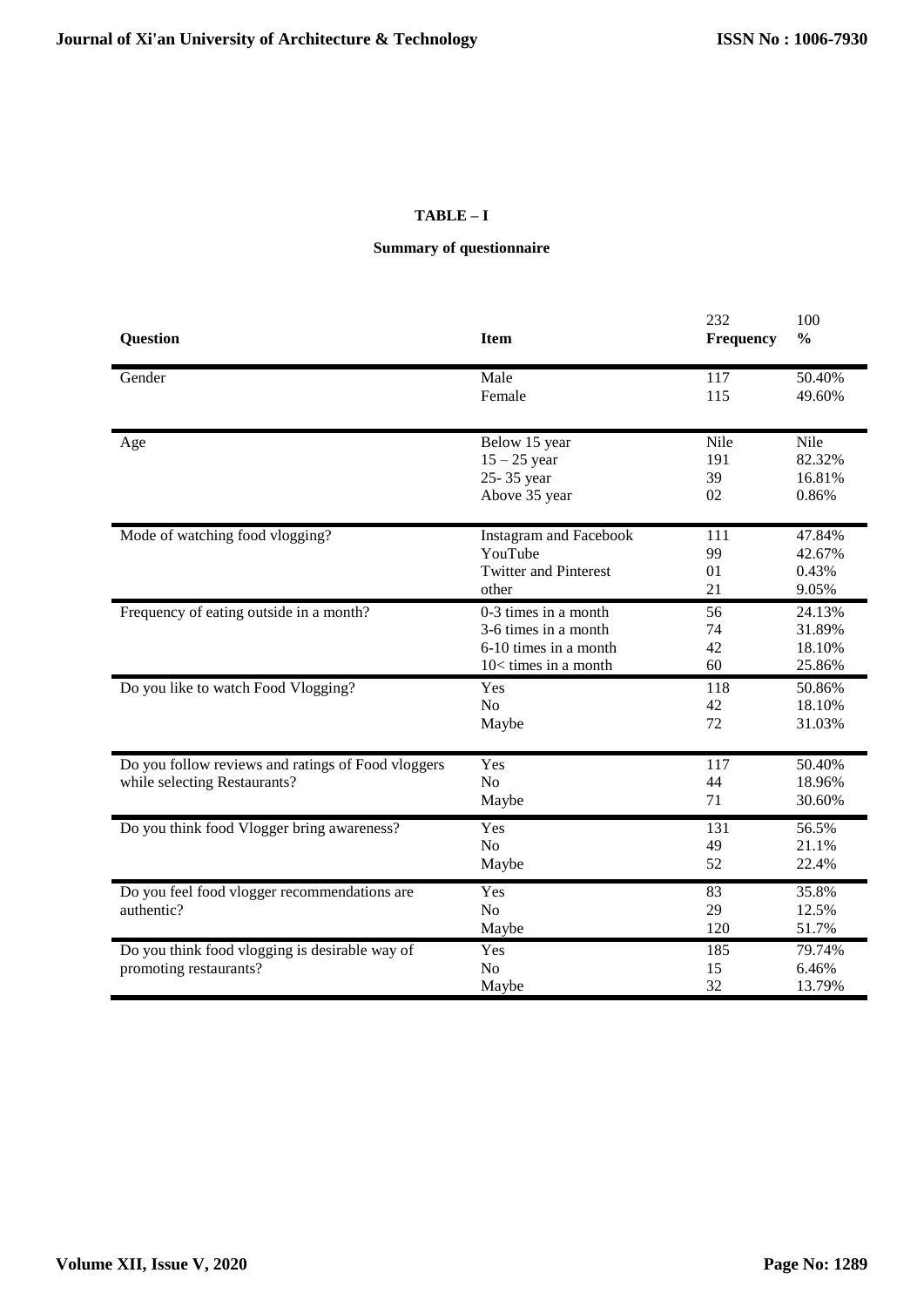# **TABLE – I**

# **Summary of questionnaire**

| <b>Question</b>                                    | <b>Item</b>                   | 232<br><b>Frequency</b> | 100<br>$\frac{0}{0}$ |
|----------------------------------------------------|-------------------------------|-------------------------|----------------------|
|                                                    |                               |                         |                      |
| Gender                                             | Male                          | 117                     | 50.40%               |
|                                                    | Female                        | 115                     | 49.60%               |
| Age                                                | Below 15 year                 | Nile                    | Nile                 |
|                                                    | $15 - 25$ year                | 191                     | 82.32%               |
|                                                    | 25-35 year                    | 39                      | 16.81%               |
|                                                    | Above 35 year                 | 02                      | 0.86%                |
| Mode of watching food vlogging?                    | <b>Instagram and Facebook</b> | 111                     | 47.84%               |
|                                                    | YouTube                       | 99                      | 42.67%               |
|                                                    | <b>Twitter and Pinterest</b>  | 01                      | 0.43%                |
|                                                    | other                         | 21                      | 9.05%                |
| Frequency of eating outside in a month?            | 0-3 times in a month          | 56                      | 24.13%               |
|                                                    | 3-6 times in a month          | 74                      | 31.89%               |
|                                                    | 6-10 times in a month         | 42                      | 18.10%               |
|                                                    | 10< times in a month          | 60                      | 25.86%               |
| Do you like to watch Food Vlogging?                | Yes                           | 118                     | 50.86%               |
|                                                    | No                            | 42                      | 18.10%               |
|                                                    | Maybe                         | 72                      | 31.03%               |
| Do you follow reviews and ratings of Food vloggers | Yes                           | 117                     | 50.40%               |
| while selecting Restaurants?                       | N <sub>o</sub>                | 44                      | 18.96%               |
|                                                    | Maybe                         | 71                      | 30.60%               |
| Do you think food Vlogger bring awareness?         | Yes                           | 131                     | 56.5%                |
|                                                    | N <sub>o</sub>                | 49                      | 21.1%                |
|                                                    | Maybe                         | 52                      | 22.4%                |
| Do you feel food vlogger recommendations are       | Yes                           | 83                      | 35.8%                |
| authentic?                                         | N <sub>o</sub>                | 29                      | 12.5%                |
|                                                    | Maybe                         | 120                     | 51.7%                |
| Do you think food vlogging is desirable way of     | Yes                           | 185                     | 79.74%               |
| promoting restaurants?                             | N <sub>o</sub>                | 15                      | 6.46%                |
|                                                    | Maybe                         | 32                      | 13.79%               |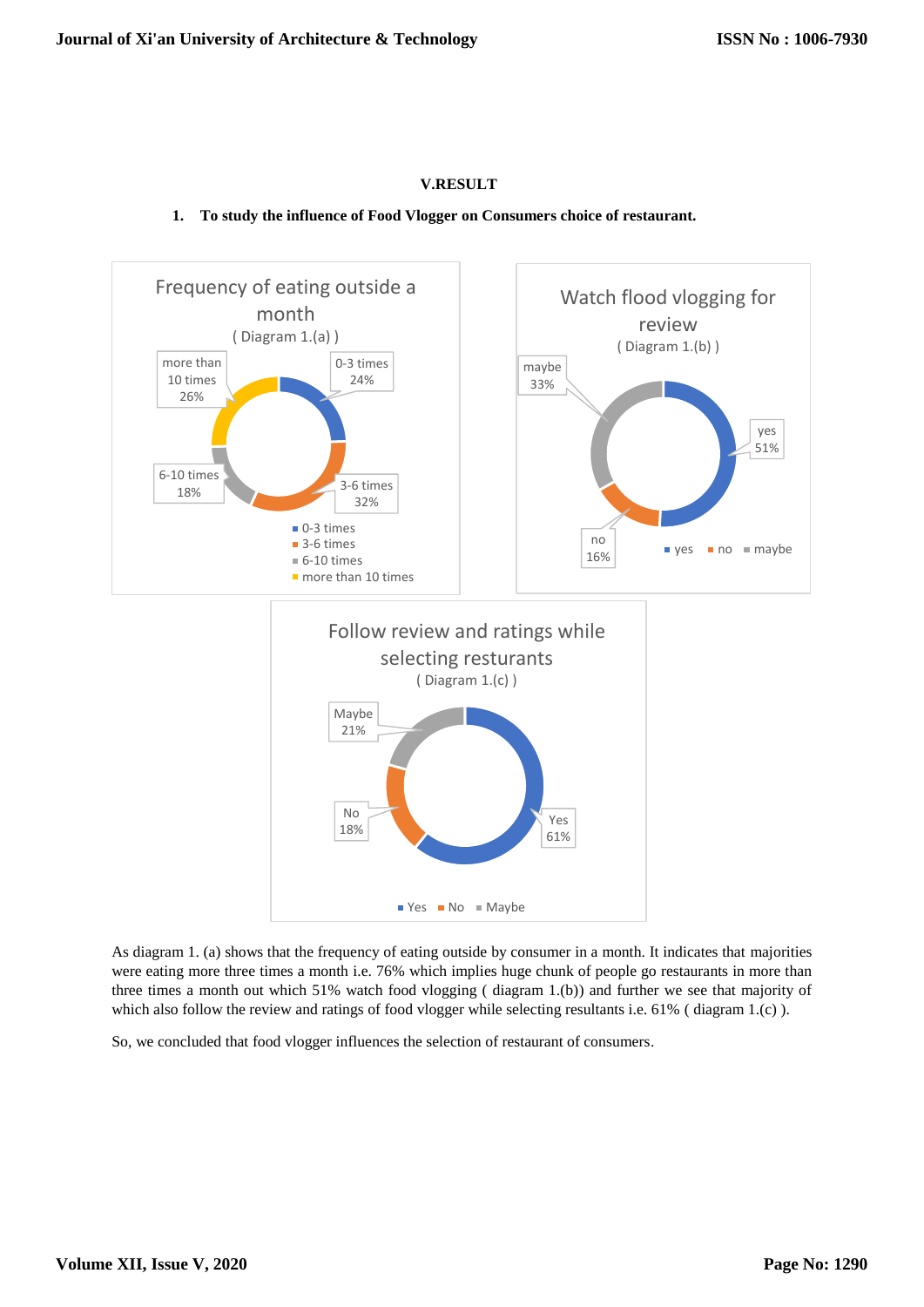## **V.RESULT**

## **1. To study the influence of Food Vlogger on Consumers choice of restaurant.**



As diagram 1. (a) shows that the frequency of eating outside by consumer in a month. It indicates that majorities were eating more three times a month i.e. 76% which implies huge chunk of people go restaurants in more than three times a month out which 51% watch food vlogging ( diagram 1.(b)) and further we see that majority of which also follow the review and ratings of food vlogger while selecting resultants i.e. 61% (diagram 1.(c)).

So, we concluded that food vlogger influences the selection of restaurant of consumers.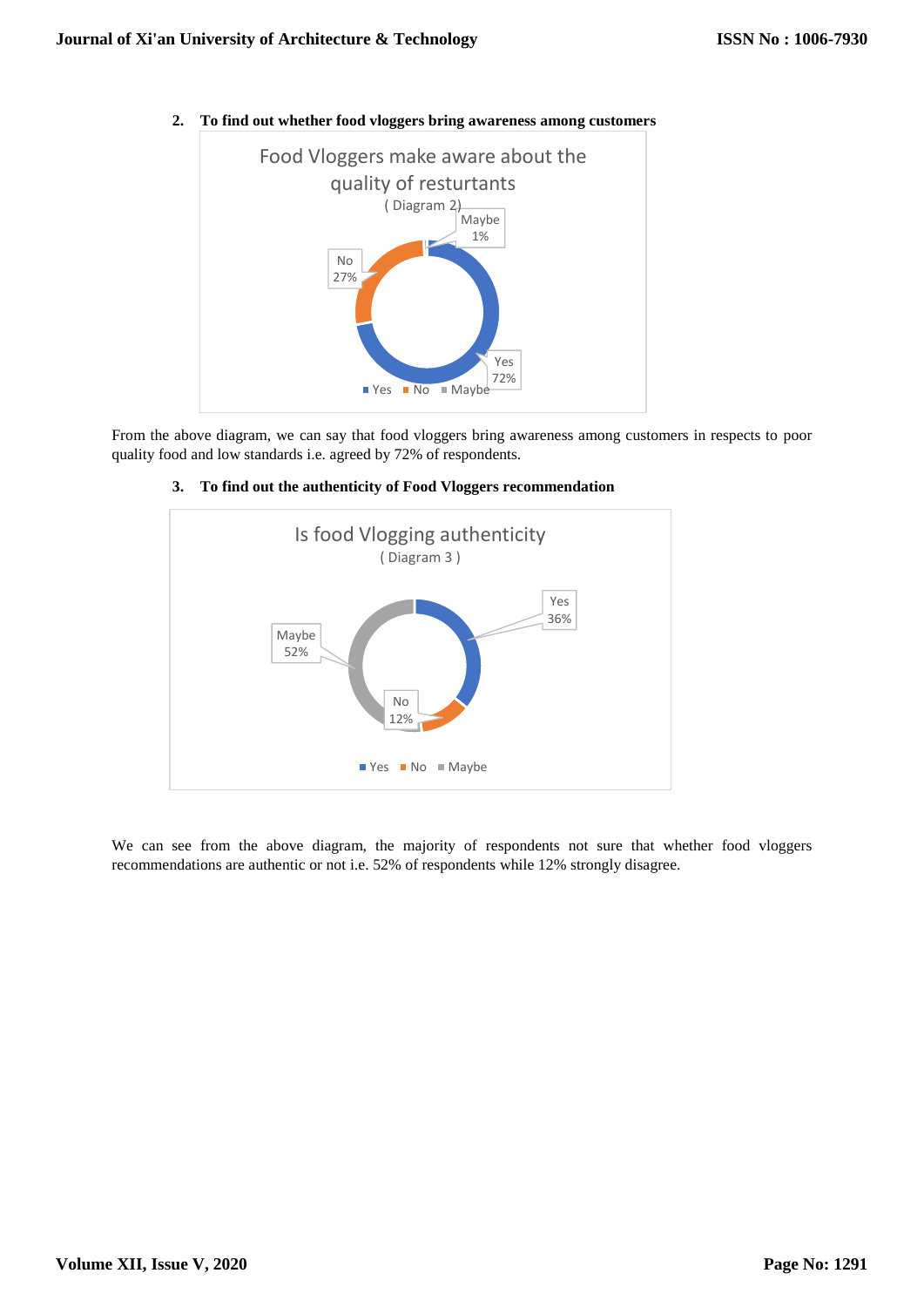

**2. To find out whether food vloggers bring awareness among customers**

From the above diagram, we can say that food vloggers bring awareness among customers in respects to poor quality food and low standards i.e. agreed by 72% of respondents.



## **3. To find out the authenticity of Food Vloggers recommendation**

We can see from the above diagram, the majority of respondents not sure that whether food vloggers recommendations are authentic or not i.e. 52% of respondents while 12% strongly disagree.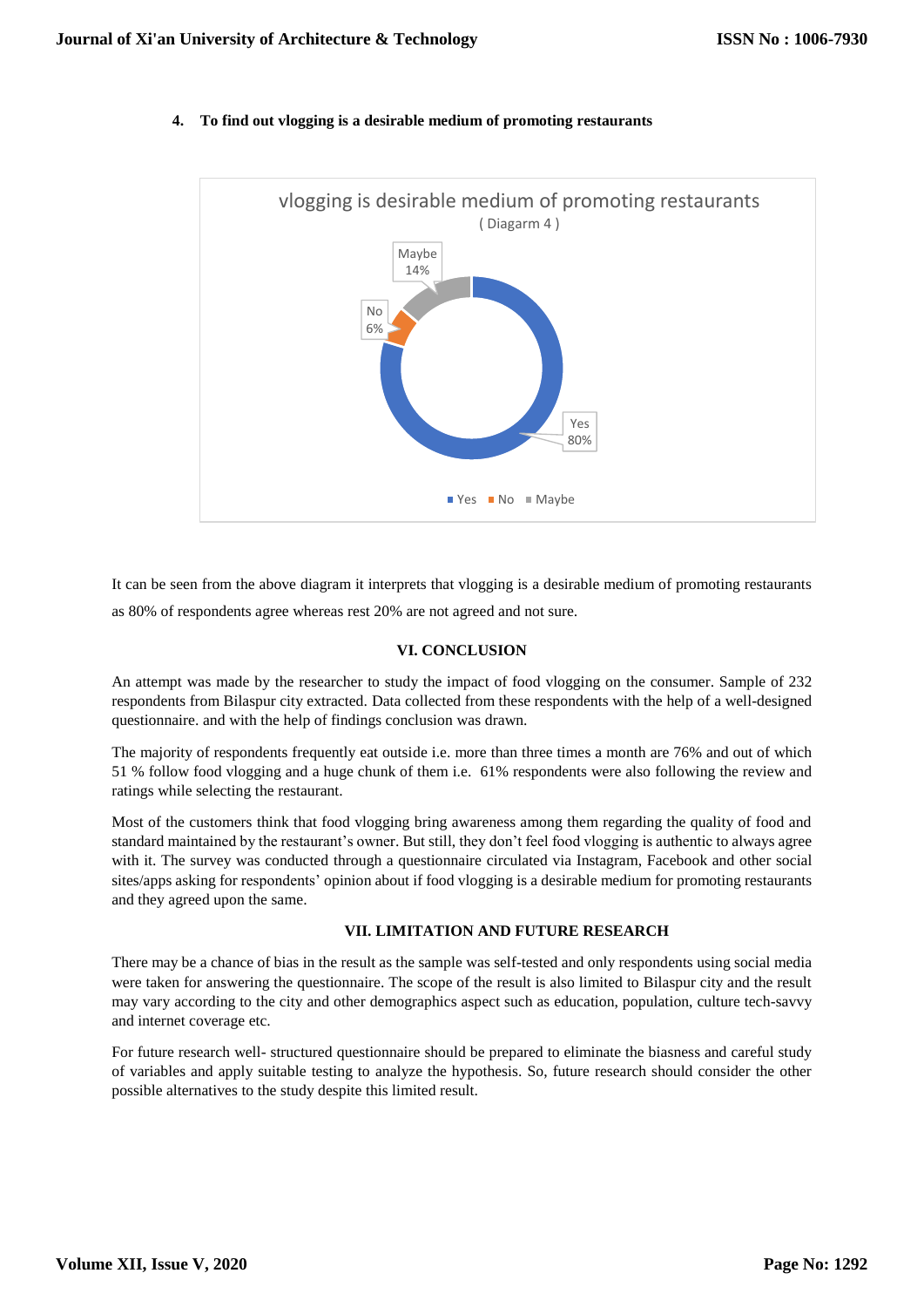

### **4. To find out vlogging is a desirable medium of promoting restaurants**

It can be seen from the above diagram it interprets that vlogging is a desirable medium of promoting restaurants as 80% of respondents agree whereas rest 20% are not agreed and not sure.

## **VI. CONCLUSION**

An attempt was made by the researcher to study the impact of food vlogging on the consumer. Sample of 232 respondents from Bilaspur city extracted. Data collected from these respondents with the help of a well-designed questionnaire. and with the help of findings conclusion was drawn.

The majority of respondents frequently eat outside i.e. more than three times a month are 76% and out of which 51 % follow food vlogging and a huge chunk of them i.e. 61% respondents were also following the review and ratings while selecting the restaurant.

Most of the customers think that food vlogging bring awareness among them regarding the quality of food and standard maintained by the restaurant's owner. But still, they don't feel food vlogging is authentic to always agree with it. The survey was conducted through a questionnaire circulated via Instagram, Facebook and other social sites/apps asking for respondents' opinion about if food vlogging is a desirable medium for promoting restaurants and they agreed upon the same.

#### **VII. LIMITATION AND FUTURE RESEARCH**

There may be a chance of bias in the result as the sample was self-tested and only respondents using social media were taken for answering the questionnaire. The scope of the result is also limited to Bilaspur city and the result may vary according to the city and other demographics aspect such as education, population, culture tech-savvy and internet coverage etc.

For future research well- structured questionnaire should be prepared to eliminate the biasness and careful study of variables and apply suitable testing to analyze the hypothesis. So, future research should consider the other possible alternatives to the study despite this limited result.